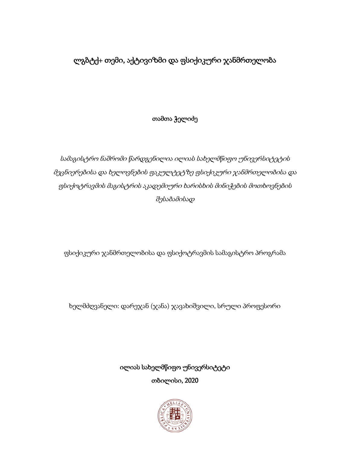# ლგბტქ+ თემი, აქტივიზმი და ფსიქიკური ჯანმრთელობა

## თამთა ჭელიძე

სამაგისტრო ნაშრომი წარდგენილია ილიას სახელმწიფო უნივერსიტეტის მეცნიერებისა და ხელოვნების ფაკულტეტზე ფსიქიკური ჯანმრთელობისა და ფსიქოტრავმის მაგისტრის აკადემიური ხარისხის მინიჭების მოთხოვნების შესაბამისად

ფსიქიკური ჯანმრთელობისა და ფსიქოტრავმის სამაგისტრო პროგრამა

ხელმძღვანელი: დარეჯან (ჯანა) ჯავახიშვილი, სრული პროფესორი

ილიას სახელმწიფო უნივერსიტეტი თბილისი, 2020

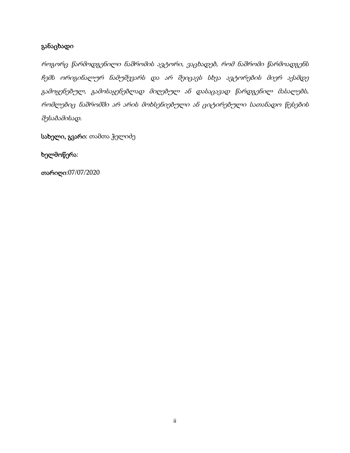### განაცხადი

როგორც წარმოდგენილი ნაშრომის ავტორი, ვაცხადებ, რომ ნაშრომი წარმოადგენს ჩემს ორიგინალურ ნამუშევარს და არ შეიცავს სხვა ავტორების მიერ აქამდე გამოყენებულ, გამოსაყენებლად მიღებულ ან დასაცავად წარდგენილ მასალებს, რომლებიც ნაშრომში არ არის მოხსენიებული ან ციტირებული სათანადო წესების შესაბამისად.

სახელი, გვარი: თამთა ჭელიძე

#### ხელმოწერა:

თარიღი:07/07/2020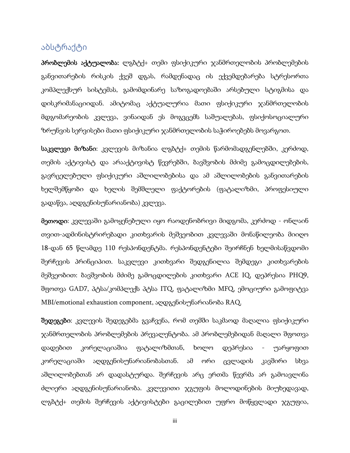## აბსტრაქტი

პრობლემის აქტუალობა: ლგბტქ+ თემი ფსიქიკური ჯანმრთელობის პრობლემების განვითარების რისკის ქვეშ დგას, რამდენადაც ის ექვემდებარება სტრესორთა კომპლექსურ სისტემას, გამომდინარე საზოგადოებაში არსებული სტიგმისა და დისკრიმანაციიდან. ამიტომაც აქტუალურია მათი ფსიქიკური ჯანმრთელობის მდგომარეობის კვლევა, ვინაიდან ეს მოგვცემს საშუალებას, ფსიქოსოციალური ზრუნვის სერვისები მათი ფსიქიკური ჯანმრთელობის საჭიროებებს მოვარგოთ.

საკვლევი მიზანი: კვლევის მიზანია ლგბტქ+ თემის წარმომადგენლებში, კერძოდ, თემის აქტივისტ და არააქტივისტ წევრებში, ბავშვობის მძიმე გამოცდილებების, გავრცელებული ფსიქიკური აშლილობებისა და ამ აშლილობების განვითარების ხელშემწყობი და ხელის შემშლელი ფაქტორების (ფატალიზმი, პროფესიული გადაწვა, აღდგენისუნარიანობა) კვლევა.

მეთოდი: კვლევაში გამოყენებული იყო რაოდენობრივი მიდგომა, კერძოდ - ონლაინ თვით-ადმინისტრირებადი კითხვარის მეშვეობით კვლევაში მონაწილეობა მიიღო 18-დან 65 წლამდე 110 რესპონდენტმა. რესპონდენტები შეირჩნენ ხელმისაწვდომი შერჩევის პრინციპით. საკვლევი კითხვარი შედგენილია შემდეგი კითხვარების მეშვეობით: ბავშვობის მძიმე გამოცდილების კითხვარი ACE IQ, დეპრესია PHQ9, შფოთვა GAD7, პტსა/კომპლექს პტსა ITQ, ფატალიზმი MFQ, ემოციური გამოფიტვა MBI/emotional exhaustion component, აღდგენისუნარიანობა RAQ.

შედეგები: კვლევის შედეგებმა გვაჩვენა, რომ თემში საკმაოდ მაღალია ფსიქიკური ჯანმრთელობის პრობლემების პრევალენტობა. ამ პრობლემებიდან მაღალი შფოთვა დადებით კორელაციაშია ფატალიზმთან, ხოლო დეპრესია - უარყოფით კორელაციაში აღდგენისუნარიანობასთან. ამ ორი ცვლადის კავშირი სხვა აშლილობებთან არ დადასტურდა. შერჩევის არც ერთმა წევრმა არ გამოავლინა ძლიერი აღდგენისუნარიანობა. კვლევითი ჯგუფის მოლოდინების მიუხედავად, ლგბტქ+ თემის შერჩევის აქტივისტები გაცილებით უფრო მოწყვლადი ჯგუფია,

iii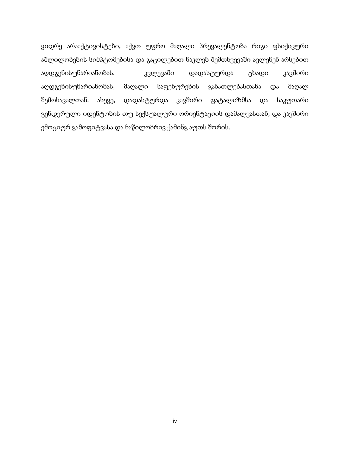ვიდრე არააქტივისტები, აქვთ უფრო მაღალი პრევალენტობა რიგი ფსიქიკური აშლილობების სიმპტომებისა და გაცილებით ნაკლებ შემთხვევაში ავლენენ არსებით აღდგენისუნარიანობას. კვლევაში დადასტურდა ცხადი კავშირი აღდგენისუნარიანობას, მაღალი საფეხურების განათლებასთანა და მაღალ შემოსავალთან. ასევე, დადასტურდა კავშირი ფატალიზმსა და საკუთარი გენდერული იდენტობის თუ სექსუალური ორიენტაციის დამალვასთან, და კავშირი ემოციურ გამოფიტვასა და ნაწილობრივ ქამინგ აუთს შორის.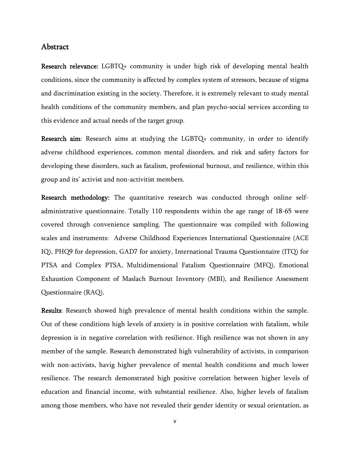#### Abstract

Research relevance: LGBTQ+ community is under high risk of developing mental health conditions, since the community is affected by complex system of stressors, because of stigma and discrimination existing in the society. Therefore, it is extremely relevant to study mental health conditions of the community members, and plan psycho-social services according to this evidence and actual needs of the target group.

Research aim: Research aims at studying the LGBTQ+ community, in order to identify adverse childhood experiences, common mental disorders, and risk and safety factors for developing these disorders, such as fatalism, professional burnout, and resilience, within this group and its' activist and non-activitist members.

Research methodology: The quantitative research was conducted through online selfadministrative questionnaire. Totally 110 respondents within the age range of 18-65 were covered through convenience sampling. The questionnaire was compiled with following scales and instruments: Adverse Childhood Experiences International Questionnaire (ACE IQ), PHQ9 for depression, GAD7 for anxiety, International Trauma Questionnaire (ITQ) for PTSA and Complex PTSA, Multidimensional Fatalism Questionnaire (MFQ), Emotional Exhaustion Component of Maslach Burnout Inventory (MBI), and Resilience Assessment Questionnaire (RAQ).

Results: Research showed high prevalence of mental health conditions within the sample. Out of these conditions high levels of anxiety is in positive correlation with fatalism, while depression is in negative correlation with resilience. High resilience was not shown in any member of the sample. Research demonstrated high vulnerability of activists, in comparison with non-activists, havig higher prevalence of mental health conditions and much lower resilience. The research demonstrated high positive correlation between higher levels of education and financial income, with substantial resilience. Also, higher levels of fatalism among those members, who have not revealed their gender identity or sexual orientation, as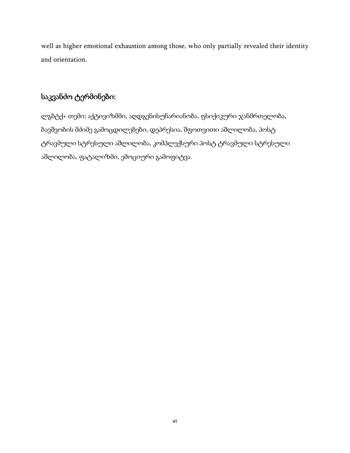well as higher emotional exhaustion among those, who only partially revealed their identity and orientation.

## საკვანძო ტერმინები:

ლგბტქ+ თემი; აქტივიზმმი, აღდგენისუნარიანობა, ფსიქიკური ჯანმრთელობა, ბავშვობის მძიმე გამოცდილებები, დეპრესია, შფოთვითი აშლილობა, პოსტ ტრავმული სტრესული აშლილობა, კომპლექსური პოსტ ტრავმული სტრესული აშლილობა, ფატალიზმი, ემოციური გამოფიტვა.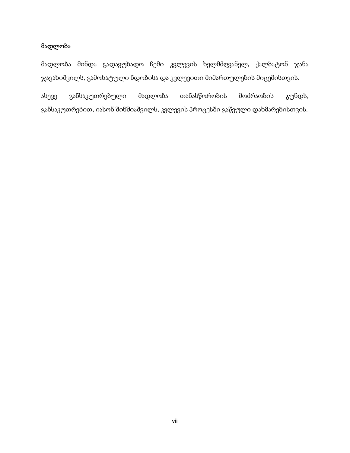### მადლობა

მადლობა მინდა გადავუხადო ჩემი კვლევის ხელმძღვანელ, ქალბატონ ჯანა ჯავახიშვილს, გამოხატული ნდობისა და კვლევითი მიმართულების მიცემისთვის.

ასევე განსაკუთრებული მადლობა თანასწორობის მოძრაობის გუნდს, განსაკუთრებით, იასონ შინშიაშვილს, კვლევის პროცესში გაწეული დახმარებისთვის.